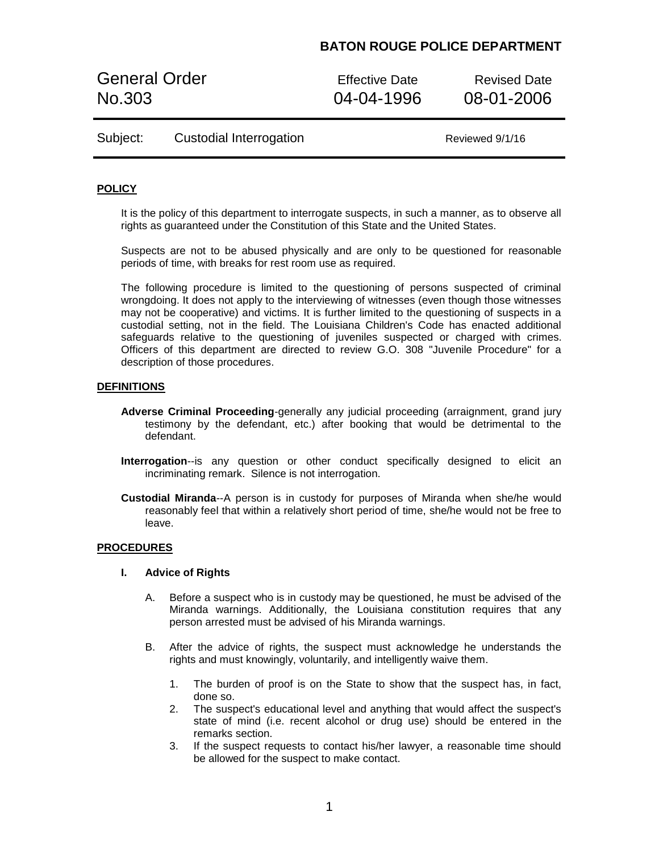# **BATON ROUGE POLICE DEPARTMENT**

General Order **Effective Date** Revised Date No.303 04-04-1996 08-01-2006

| Subject: | Custodial Interrogation |  |
|----------|-------------------------|--|
|----------|-------------------------|--|

Reviewed 9/1/16

## **POLICY**

It is the policy of this department to interrogate suspects, in such a manner, as to observe all rights as guaranteed under the Constitution of this State and the United States.

Suspects are not to be abused physically and are only to be questioned for reasonable periods of time, with breaks for rest room use as required.

The following procedure is limited to the questioning of persons suspected of criminal wrongdoing. It does not apply to the interviewing of witnesses (even though those witnesses may not be cooperative) and victims. It is further limited to the questioning of suspects in a custodial setting, not in the field. The Louisiana Children's Code has enacted additional safeguards relative to the questioning of juveniles suspected or charged with crimes. Officers of this department are directed to review G.O. 308 "Juvenile Procedure" for a description of those procedures.

#### **DEFINITIONS**

- **Adverse Criminal Proceeding**-generally any judicial proceeding (arraignment, grand jury testimony by the defendant, etc.) after booking that would be detrimental to the defendant.
- **Interrogation**--is any question or other conduct specifically designed to elicit an incriminating remark. Silence is not interrogation.
- **Custodial Miranda**--A person is in custody for purposes of Miranda when she/he would reasonably feel that within a relatively short period of time, she/he would not be free to leave.

### **PROCEDURES**

#### **I. Advice of Rights**

- A. Before a suspect who is in custody may be questioned, he must be advised of the Miranda warnings. Additionally, the Louisiana constitution requires that any person arrested must be advised of his Miranda warnings.
- B. After the advice of rights, the suspect must acknowledge he understands the rights and must knowingly, voluntarily, and intelligently waive them.
	- 1. The burden of proof is on the State to show that the suspect has, in fact, done so.
	- 2. The suspect's educational level and anything that would affect the suspect's state of mind (i.e. recent alcohol or drug use) should be entered in the remarks section.
	- 3. If the suspect requests to contact his/her lawyer, a reasonable time should be allowed for the suspect to make contact.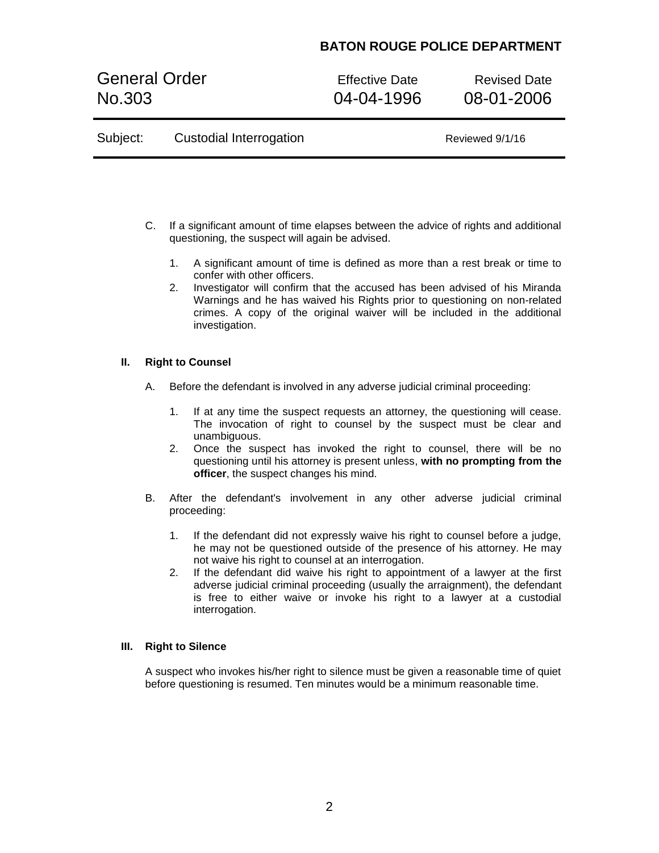# **BATON ROUGE POLICE DEPARTMENT**

General Order **Effective Date** Revised Date No.303 04-04-1996 08-01-2006

| Subject: | <b>Custodial Interrogation</b> | Reviewed 9/1/16 |
|----------|--------------------------------|-----------------|
|----------|--------------------------------|-----------------|

- C. If a significant amount of time elapses between the advice of rights and additional questioning, the suspect will again be advised.
	- 1. A significant amount of time is defined as more than a rest break or time to confer with other officers.
	- 2. Investigator will confirm that the accused has been advised of his Miranda Warnings and he has waived his Rights prior to questioning on non-related crimes. A copy of the original waiver will be included in the additional investigation.

## **II. Right to Counsel**

- A. Before the defendant is involved in any adverse judicial criminal proceeding:
	- 1. If at any time the suspect requests an attorney, the questioning will cease. The invocation of right to counsel by the suspect must be clear and unambiguous.
	- 2. Once the suspect has invoked the right to counsel, there will be no questioning until his attorney is present unless, **with no prompting from the officer**, the suspect changes his mind.
- B. After the defendant's involvement in any other adverse judicial criminal proceeding:
	- 1. If the defendant did not expressly waive his right to counsel before a judge, he may not be questioned outside of the presence of his attorney. He may not waive his right to counsel at an interrogation.
	- 2. If the defendant did waive his right to appointment of a lawyer at the first adverse judicial criminal proceeding (usually the arraignment), the defendant is free to either waive or invoke his right to a lawyer at a custodial interrogation.

## **III. Right to Silence**

A suspect who invokes his/her right to silence must be given a reasonable time of quiet before questioning is resumed. Ten minutes would be a minimum reasonable time.